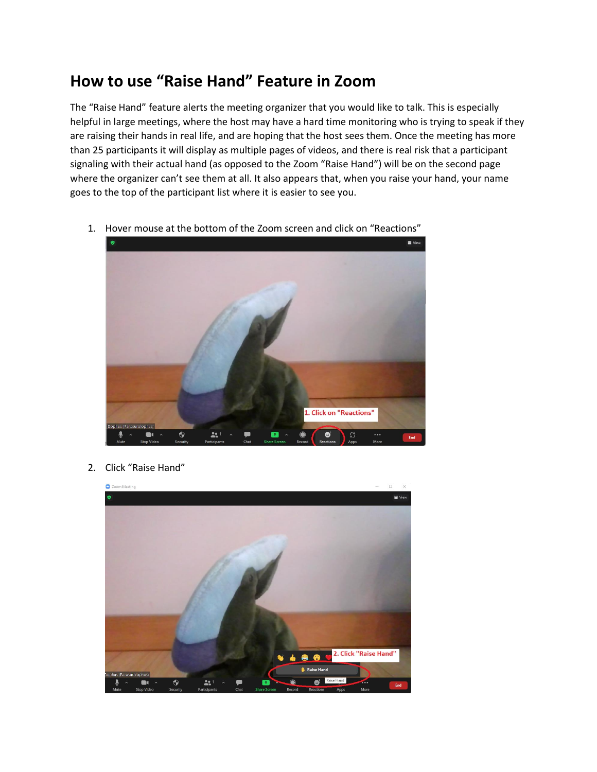## **How to use "Raise Hand" Feature in Zoom**

The "Raise Hand" feature alerts the meeting organizer that you would like to talk. This is especially helpful in large meetings, where the host may have a hard time monitoring who is trying to speak if they are raising their hands in real life, and are hoping that the host sees them. Once the meeting has more than 25 participants it will display as multiple pages of videos, and there is real risk that a participant signaling with their actual hand (as opposed to the Zoom "Raise Hand") will be on the second page where the organizer can't see them at all. It also appears that, when you raise your hand, your name goes to the top of the participant list where it is easier to see you.

1. Hover mouse at the bottom of the Zoom screen and click on "Reactions"



2. Click "Raise Hand"